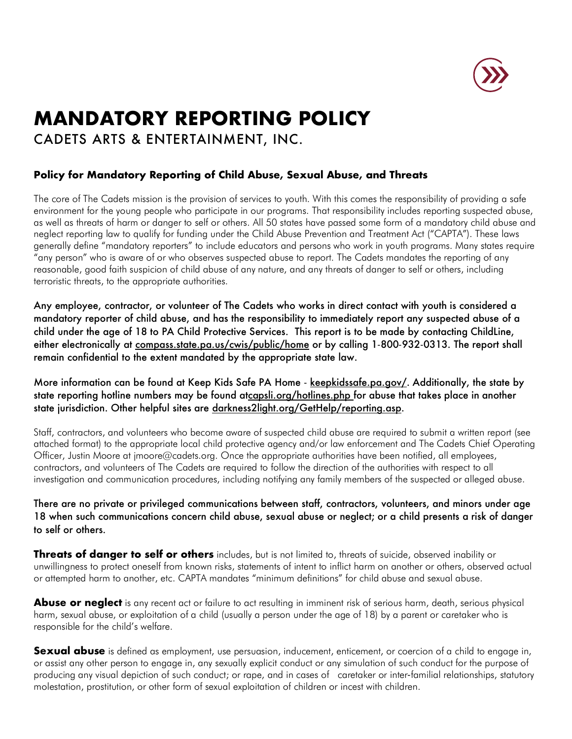

# **MANDATORY REPORTING POLICY**

CADETS ARTS & ENTERTAINMENT, INC.

## **Policy for Mandatory Reporting of Child Abuse, Sexual Abuse, and Threats**

The core of The Cadets mission is the provision of services to youth. With this comes the responsibility of providing a safe environment for the young people who participate in our programs. That responsibility includes reporting suspected abuse, as well as threats of harm or danger to self or others. All 50 states have passed some form of a mandatory child abuse and neglect reporting law to qualify for funding under the Child Abuse Prevention and Treatment Act ("CAPTA"). These laws generally define "mandatory reporters" to include educators and persons who work in youth programs. Many states require "any person" who is aware of or who observes suspected abuse to report. The Cadets mandates the reporting of any reasonable, good faith suspicion of child abuse of any nature, and any threats of danger to self or others, including terroristic threats, to the appropriate authorities.

Any employee, contractor, or volunteer of The Cadets who works in direct contact with youth is considered a mandatory reporter of child abuse, and has the responsibility to immediately report any suspected abuse of a child under the age of 18 to PA Child Protective Services. This report is to be made by contacting ChildLine, either electronically at compass.state.pa.us/cwis/public/home or by calling 1-800-932-0313. The report shall remain confidential to the extent mandated by the appropriate state law.

More information can be found at Keep Kids Safe PA Home - keepkidssafe.pa.gov/. Additionally, the state by state reporting hotline numbers may be found atcapsli.org/hotlines.php for abuse that takes place in another state jurisdiction. Other helpful sites are darkness2light.org/GetHelp/reporting.asp.

Staff, contractors, and volunteers who become aware of suspected child abuse are required to submit a written report (see attached format) to the appropriate local child protective agency and/or law enforcement and The Cadets Chief Operating Officer, Justin Moore at jmoore@cadets.org. Once the appropriate authorities have been notified, all employees, contractors, and volunteers of The Cadets are required to follow the direction of the authorities with respect to all investigation and communication procedures, including notifying any family members of the suspected or alleged abuse.

## There are no private or privileged communications between staff, contractors, volunteers, and minors under age 18 when such communications concern child abuse, sexual abuse or neglect; or a child presents a risk of danger to self or others.

**Threats of danger to self or others** includes, but is not limited to, threats of suicide, observed inability or unwillingness to protect oneself from known risks, statements of intent to inflict harm on another or others, observed actual or attempted harm to another, etc. CAPTA mandates "minimum definitions" for child abuse and sexual abuse.

Abuse or neglect is any recent act or failure to act resulting in imminent risk of serious harm, death, serious physical harm, sexual abuse, or exploitation of a child (usually a person under the age of 18) by a parent or caretaker who is responsible for the child's welfare.

**Sexual abuse** is defined as employment, use persuasion, inducement, enticement, or coercion of a child to engage in, or assist any other person to engage in, any sexually explicit conduct or any simulation of such conduct for the purpose of producing any visual depiction of such conduct; or rape, and in cases of caretaker or inter-familial relationships, statutory molestation, prostitution, or other form of sexual exploitation of children or incest with children.